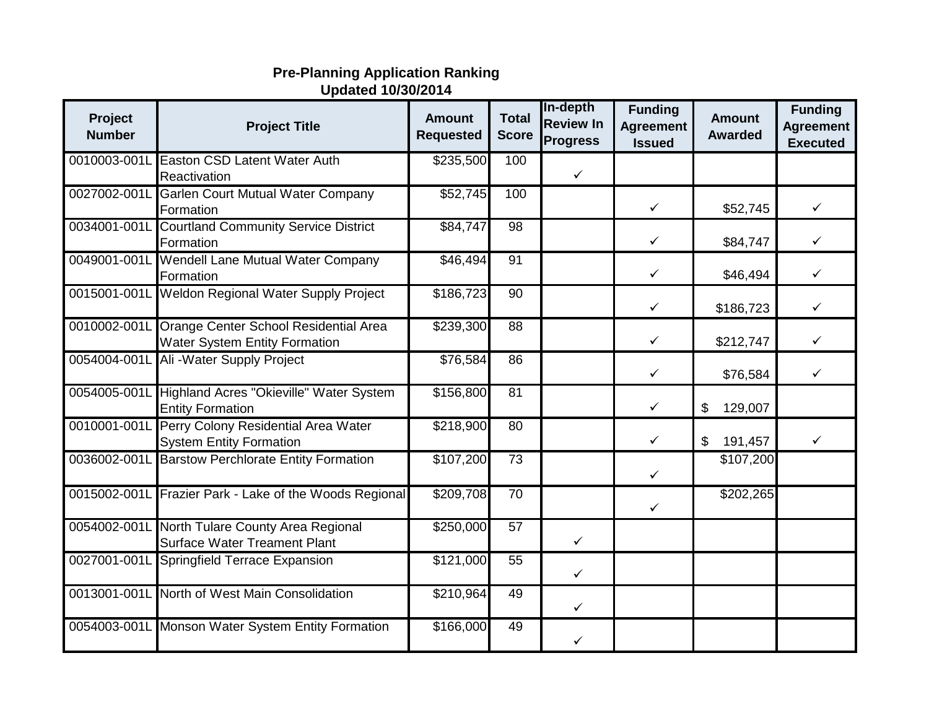## **Pre-Planning Application Ranking Updated 10/30/2014**

| Project<br><b>Number</b> | <b>Project Title</b>                                                                       | <b>Amount</b><br><b>Requested</b> | <b>Total</b><br><b>Score</b> | In-depth<br><b>Review In</b><br><b>Progress</b> | <b>Funding</b><br><b>Agreement</b><br><b>Issued</b> | <b>Amount</b><br><b>Awarded</b> | <b>Funding</b><br><b>Agreement</b><br><b>Executed</b> |
|--------------------------|--------------------------------------------------------------------------------------------|-----------------------------------|------------------------------|-------------------------------------------------|-----------------------------------------------------|---------------------------------|-------------------------------------------------------|
| 0010003-001L             | <b>Easton CSD Latent Water Auth</b><br>Reactivation                                        | \$235,500                         | 100                          | $\checkmark$                                    |                                                     |                                 |                                                       |
|                          | 0027002-001L Garlen Court Mutual Water Company<br>Formation                                | \$52,745                          | 100                          |                                                 | $\checkmark$                                        | \$52,745                        | $\checkmark$                                          |
|                          | 0034001-001L Courtland Community Service District<br>Formation                             | \$84,747                          | 98                           |                                                 | $\checkmark$                                        | \$84,747                        | $\checkmark$                                          |
|                          | 0049001-001L Wendell Lane Mutual Water Company<br>Formation                                | \$46,494                          | $\overline{91}$              |                                                 | $\checkmark$                                        | \$46,494                        | ✓                                                     |
|                          | 0015001-001L Weldon Regional Water Supply Project                                          | \$186,723                         | $\overline{90}$              |                                                 | $\checkmark$                                        | \$186,723                       | $\checkmark$                                          |
|                          | 0010002-001L Orange Center School Residential Area<br><b>Water System Entity Formation</b> | \$239,300                         | 88                           |                                                 | $\checkmark$                                        | \$212,747                       | $\checkmark$                                          |
|                          | 0054004-001L Ali - Water Supply Project                                                    | \$76,584                          | 86                           |                                                 | $\checkmark$                                        | \$76,584                        | $\checkmark$                                          |
|                          | 0054005-001L Highland Acres "Okieville" Water System<br><b>Entity Formation</b>            | \$156,800                         | 81                           |                                                 | $\checkmark$                                        | 129,007<br>\$                   |                                                       |
|                          | 0010001-001L Perry Colony Residential Area Water<br><b>System Entity Formation</b>         | \$218,900                         | 80                           |                                                 | $\checkmark$                                        | \$<br>191,457                   | ✓                                                     |
|                          | 0036002-001L Barstow Perchlorate Entity Formation                                          | \$107,200                         | 73                           |                                                 | ✓                                                   | \$107,200                       |                                                       |
|                          | 0015002-001L Frazier Park - Lake of the Woods Regional                                     | \$209,708                         | 70                           |                                                 | $\checkmark$                                        | \$202,265                       |                                                       |
|                          | 0054002-001L North Tulare County Area Regional<br><b>Surface Water Treament Plant</b>      | \$250,000                         | 57                           | ✓                                               |                                                     |                                 |                                                       |
|                          | 0027001-001L Springfield Terrace Expansion                                                 | \$121,000                         | 55                           | $\checkmark$                                    |                                                     |                                 |                                                       |
|                          | 0013001-001L North of West Main Consolidation                                              | \$210,964                         | 49                           | ✓                                               |                                                     |                                 |                                                       |
|                          | 0054003-001L Monson Water System Entity Formation                                          | \$166,000                         | 49                           | ✓                                               |                                                     |                                 |                                                       |